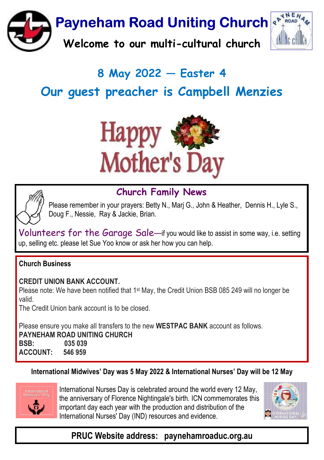

# 8 May 2022  $-$  Easter 4 Our auest preacher is Campbell Menzies





# Church Family News

Please remember in your prayers: Betty N., Marj G., John & Heather, Dennis H., Lyle S., Doug F., Nessie, Ray & Jackie, Brian.

Volunteers for the Garage Sale-if you would like to assist in some way, i.e. setting up, selling etc. please let Sue Yoo know or ask her how you can help.

#### Church Business

CREDIT UNION BANK ACCOUNT.

Please note: We have been notified that 1st May, the Credit Union BSB 085 249 will no longer be valid.

The Credit Union bank account is to be closed.

Please ensure you make all transfers to the new WESTPAC BANK account as follows.

PAYNEHAM ROAD UNITING CHURCH BSB: 035 039 ACCOUNT: 546 959

#### International Midwives' Day was 5 May 2022 & International Nurses' Day will be 12 May



International Nurses Day is celebrated around the world every 12 May, the anniversary of Florence Nightingale's birth. ICN commemorates this important day each year with the production and distribution of the International Nurses' Day (IND) resources and evidence.



# PRUC Website address: paynehamroaduc.org.au